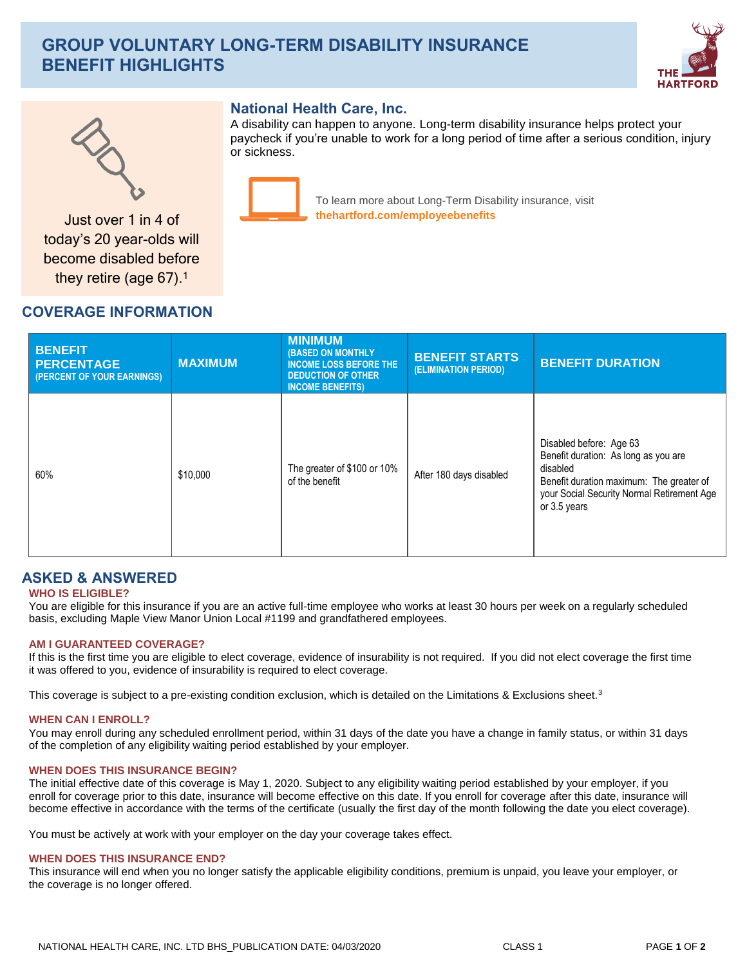# **GROUP VOLUNTARY LONG-TERM DISABILITY INSURANCE BENEFIT HIGHLIGHTS**





### **National Health Care, Inc.**

A disability can happen to anyone. Long-term disability insurance helps protect your paycheck if you're unable to work for a long period of time after a serious condition, injury or sickness.



To learn more about Long-Term Disability insurance, visit **thehartford.com/employeebenefits** Just over 1 in 4 of

today's 20 year-olds will become disabled before they retire (age 67).<sup>1</sup>

## **COVERAGE INFORMATION**

| <b>BENEFIT</b><br><b>PERCENTAGE</b><br>(PERCENT OF YOUR EARNINGS) | <b>MAXIMUM</b> | <b>MINIMUM</b><br><b>(BASED ON MONTHLY)</b><br><b>INCOME LOSS BEFORE THE</b><br><b>DEDUCTION OF OTHER</b><br><b>INCOME BENEFITS)</b> | <b>BENEFIT STARTS</b><br>(ELIMINATION PERIOD) | <b>BENEFIT DURATION</b>                                                                                                                                                               |
|-------------------------------------------------------------------|----------------|--------------------------------------------------------------------------------------------------------------------------------------|-----------------------------------------------|---------------------------------------------------------------------------------------------------------------------------------------------------------------------------------------|
| 60%                                                               | \$10,000       | The greater of \$100 or 10%<br>of the benefit                                                                                        | After 180 days disabled                       | Disabled before: Age 63<br>Benefit duration: As long as you are<br>disabled<br>Benefit duration maximum: The greater of<br>your Social Security Normal Retirement Age<br>or 3.5 years |

### **ASKED & ANSWERED**

### **WHO IS ELIGIBLE?**

You are eligible for this insurance if you are an active full-time employee who works at least 30 hours per week on a regularly scheduled basis, excluding Maple View Manor Union Local #1199 and grandfathered employees.

#### **AM I GUARANTEED COVERAGE?**

If this is the first time you are eligible to elect coverage, evidence of insurability is not required. If you did not elect coverage the first time it was offered to you, evidence of insurability is required to elect coverage.

This coverage is subject to a pre-existing condition exclusion, which is detailed on the Limitations & Exclusions sheet.<sup>3</sup>

#### **WHEN CAN I ENROLL?**

You may enroll during any scheduled enrollment period, within 31 days of the date you have a change in family status, or within 31 days of the completion of any eligibility waiting period established by your employer.

#### **WHEN DOES THIS INSURANCE BEGIN?**

The initial effective date of this coverage is May 1, 2020. Subject to any eligibility waiting period established by your employer, if you enroll for coverage prior to this date, insurance will become effective on this date. If you enroll for coverage after this date, insurance will become effective in accordance with the terms of the certificate (usually the first day of the month following the date you elect coverage).

You must be actively at work with your employer on the day your coverage takes effect.

#### **WHEN DOES THIS INSURANCE END?**

This insurance will end when you no longer satisfy the applicable eligibility conditions, premium is unpaid, you leave your employer, or the coverage is no longer offered.